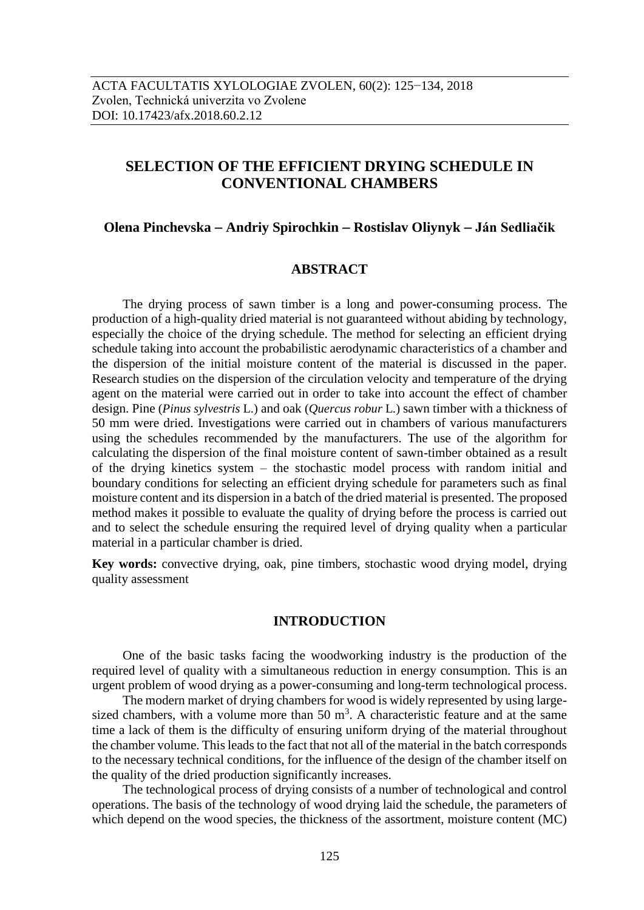# **SELECTION OF THE EFFICIENT DRYING SCHEDULE IN CONVENTIONAL CHAMBERS**

# **Olena Pinchevska Andriy Spirochkin Rostislav Oliynyk Ján Sedliačik**

# **ABSTRACT**

The drying process of sawn timber is a long and power-consuming process. The production of a high-quality dried material is not guaranteed without abiding by technology, especially the choice of the drying schedule. The method for selecting an efficient drying schedule taking into account the probabilistic aerodynamic characteristics of a chamber and the dispersion of the initial moisture content of the material is discussed in the paper. Research studies on the dispersion of the circulation velocity and temperature of the drying agent on the material were carried out in order to take into account the effect of chamber design. Pine (*Pinus sylvestris* L.) and oak (*Quercus robur* L*.*) sawn timber with a thickness of 50 mm were dried. Investigations were carried out in chambers of various manufacturers using the schedules recommended by the manufacturers. The use of the algorithm for calculating the dispersion of the final moisture content of sawn-timber obtained as a result of the drying kinetics system – the stochastic model process with random initial and boundary conditions for selecting an efficient drying schedule for parameters such as final moisture content and its dispersion in a batch of the dried material is presented. The proposed method makes it possible to evaluate the quality of drying before the process is carried out and to select the schedule ensuring the required level of drying quality when a particular material in a particular chamber is dried.

**Key words:** convective drying, oak, pine timbers, stochastic wood drying model, drying quality assessment

### **INTRODUCTION**

One of the basic tasks facing the woodworking industry is the production of the required level of quality with a simultaneous reduction in energy consumption. This is an urgent problem of wood drying as a power-consuming and long-term technological process.

The modern market of drying chambers for wood is widely represented by using largesized chambers, with a volume more than 50  $m<sup>3</sup>$ . A characteristic feature and at the same time a lack of them is the difficulty of ensuring uniform drying of the material throughout the chamber volume. This leads to the fact that not all of the material in the batch corresponds to the necessary technical conditions, for the influence of the design of the chamber itself on the quality of the dried production significantly increases.

The technological process of drying consists of a number of technological and control operations. The basis of the technology of wood drying laid the schedule, the parameters of which depend on the wood species, the thickness of the assortment, moisture content (MC)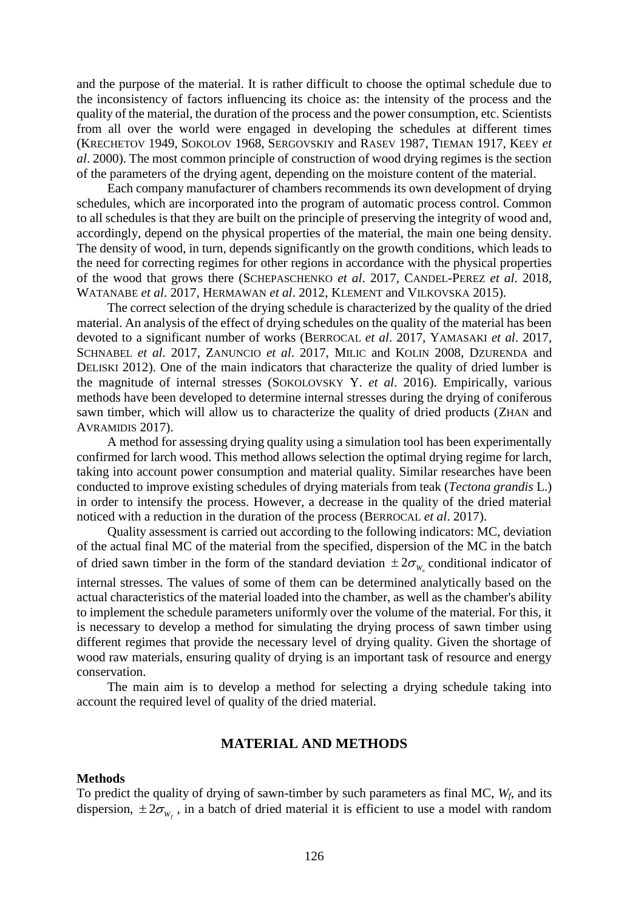and the purpose of the material. It is rather difficult to choose the optimal schedule due to the inconsistency of factors influencing its choice as: the intensity of the process and the quality of the material, the duration of the process and the power consumption, etc. Scientists from all over the world were engaged in developing the schedules at different times (KRECHETOV 1949, SOKOLOV 1968, SERGOVSKIY and RASEV 1987, TIEMAN 1917, KEEY *et al*. 2000). The most common principle of construction of wood drying regimes is the section of the parameters of the drying agent, depending on the moisture content of the material.

Each company manufacturer of chambers recommends its own development of drying schedules, which are incorporated into the program of automatic process control. Common to all schedules is that they are built on the principle of preserving the integrity of wood and, accordingly, depend on the physical properties of the material, the main one being density. The density of wood, in turn, depends significantly on the growth conditions, which leads to the need for correcting regimes for other regions in accordance with the physical properties of the wood that grows there (SCHEPASCHENKO *et al*. 2017, CANDEL-PEREZ *et al*. 2018, WATANABE *et al*. 2017, HERMAWAN *et al*. 2012, KLEMENT and VILKOVSKA 2015).

The correct selection of the drying schedule is characterized by the quality of the dried material. An analysis of the effect of drying schedules on the quality of the material has been devoted to a significant number of works (BERROCAL *et al*. 2017, YAMASAKI *et al*. 2017, SCHNABEL *et al*. 2017, ZANUNCIO *et al*. 2017, MILIC and KOLIN 2008, DZURENDA and DELISKI 2012). One of the main indicators that characterize the quality of dried lumber is the magnitude of internal stresses (SOKOLOVSKY Y. *et al*. 2016). Empirically, various methods have been developed to determine internal stresses during the drying of coniferous sawn timber, which will allow us to characterize the quality of dried products (ZHAN and AVRAMIDIS 2017).

A method for assessing drying quality using a simulation tool has been experimentally confirmed for larch wood. This method allows selection the optimal drying regime for larch, taking into account power consumption and material quality. Similar researches have been conducted to improve existing schedules of drying materials from teak (*Tectona grandis* L.) in order to intensify the process. However, a decrease in the quality of the dried material noticed with a reduction in the duration of the process (BERROCAL *et al*. 2017).

Quality assessment is carried out according to the following indicators: MC, deviation of the actual final MC of the material from the specified, dispersion of the MC in the batch of dried sawn timber in the form of the standard deviation  $\pm 2\sigma_{W_k}$  conditional indicator of internal stresses. The values of some of them can be determined analytically based on the actual characteristics of the material loaded into the chamber, as well as the chamber's ability to implement the schedule parameters uniformly over the volume of the material. For this, it is necessary to develop a method for simulating the drying process of sawn timber using different regimes that provide the necessary level of drying quality. Given the shortage of wood raw materials, ensuring quality of drying is an important task of resource and energy conservation.

The main aim is to develop a method for selecting a drying schedule taking into account the required level of quality of the dried material.

## **MATERIAL AND METHODS**

#### **Methods**

To predict the quality of drying of sawn-timber by such parameters as final MC, *Wf*, and its dispersion,  $\pm 2\sigma_{W_f}$ , in a batch of dried material it is efficient to use a model with random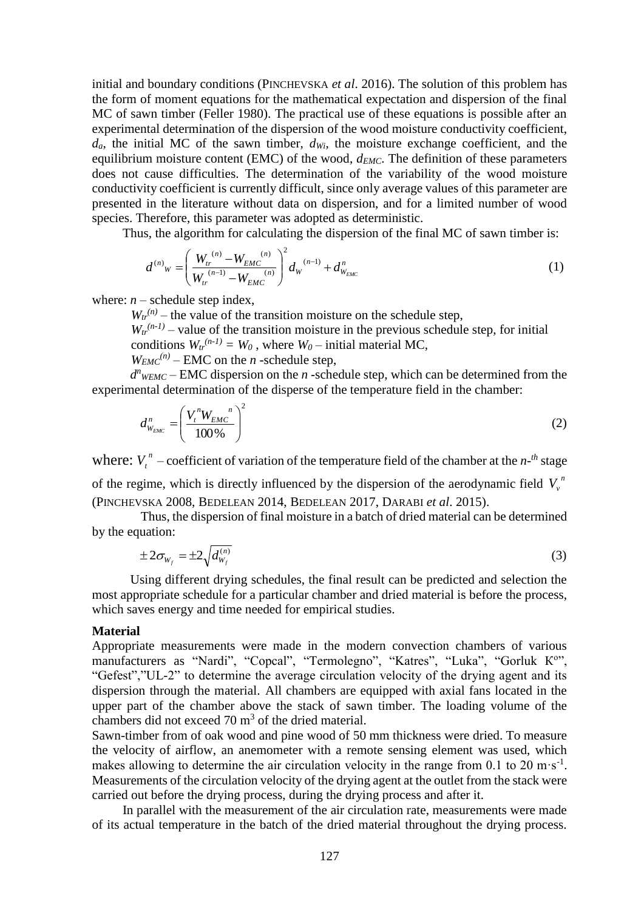initial and boundary conditions (PINCHEVSKA *et al*. 2016). The solution of this problem has the form of moment equations for the mathematical expectation and dispersion of the final MC of sawn timber (Feller 1980). The practical use of these equations is possible after an experimental determination of the dispersion of the wood moisture conductivity coefficient,  $d_a$ , the initial MC of the sawn timber,  $d_{Wi}$ , the moisture exchange coefficient, and the equilibrium moisture content (EMC) of the wood,  $d_{EMC}$ . The definition of these parameters does not cause difficulties. The determination of the variability of the wood moisture conductivity coefficient is currently difficult, since only average values of this parameter are presented in the literature without data on dispersion, and for a limited number of wood species. Therefore, this parameter was adopted as deterministic.

Thus, the algorithm for calculating the dispersion of the final MC of sawn timber is:

$$
d^{(n)}_{W} = \left(\frac{W_{tr}^{(n)} - W_{EMC}^{(n)}}{W_{tr}^{(n-1)} - W_{EMC}^{(n)}}\right)^2 d_{W}^{(n-1)} + d_{W_{EMC}}^n
$$
\n(1)

where:  $n$  – schedule step index,

 $W_{tr}^{(n)}$  – the value of the transition moisture on the schedule step,

 $W_t^{(n-1)}$  – value of the transition moisture in the previous schedule step, for initial conditions  $W_t^{(n-1)} = W_0$ , where  $W_0$  – initial material MC,

 $W_{EMC}^{(n)}$  – EMC on the *n*-schedule step,

 $d^n$ <sub>WEMC</sub> – EMC dispersion on the *n*-schedule step, which can be determined from the experimental determination of the disperse of the temperature field in the chamber:

$$
d_{W_{EMC}}^n = \left(\frac{V_t^n W_{EMC}}{100\%}\right)^2
$$
 (2)

where:  $V_t^h$  – coefficient of variation of the temperature field of the chamber at the  $n$ -<sup>th</sup> stage of the regime, which is directly influenced by the dispersion of the aerodynamic field  $V_{\nu}^{n}$ 

(PINCHEVSKA 2008, BEDELEAN 2014, BEDELEAN 2017, DARABI *et al*. 2015).

Thus, the dispersion of final moisture in a batch of dried material can be determined by the equation:

$$
\pm 2\sigma_{W_f} = \pm 2\sqrt{d_{W_f}^{(n)}}
$$
 (3)

Using different drying schedules, the final result can be predicted and selection the most appropriate schedule for a particular chamber and dried material is before the process, which saves energy and time needed for empirical studies.

#### **Material**

Appropriate measurements were made in the modern convection chambers of various manufacturers as "Nardi", "Copcal", "Termolegno", "Katres", "Luka", "Gorluk K<sup>o</sup>", "Gefest","UL-2" to determine the average circulation velocity of the drying agent and its dispersion through the material. All chambers are equipped with axial fans located in the upper part of the chamber above the stack of sawn timber. The loading volume of the chambers did not exceed  $70 \text{ m}^3$  of the dried material.

Sawn-timber from of oak wood and pine wood of 50 mm thickness were dried. To measure the velocity of airflow, an anemometer with a remote sensing element was used, which makes allowing to determine the air circulation velocity in the range from 0.1 to 20 m·s<sup>-1</sup>. Measurements of the circulation velocity of the drying agent at the outlet from the stack were carried out before the drying process, during the drying process and after it.

In parallel with the measurement of the air circulation rate, measurements were made of its actual temperature in the batch of the dried material throughout the drying process.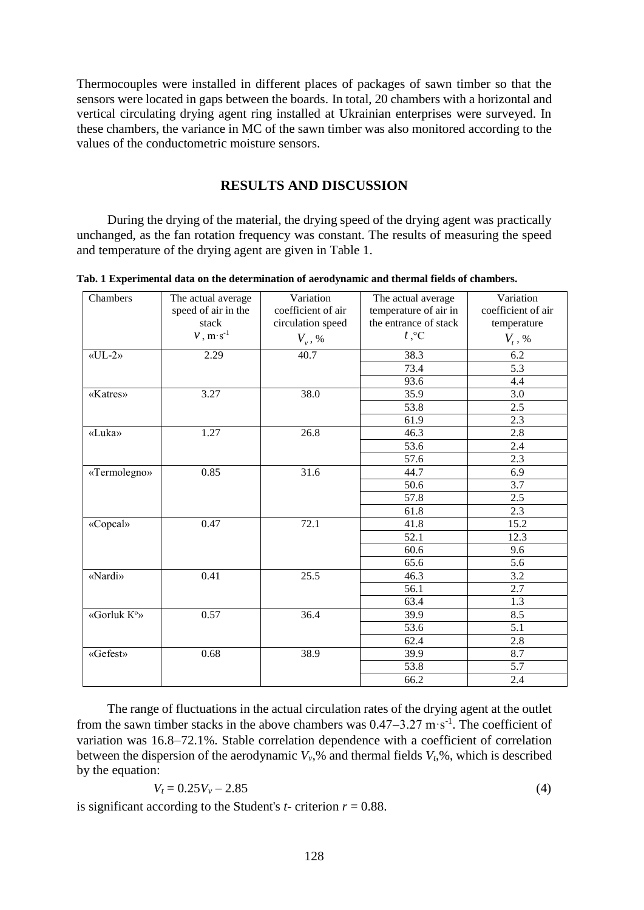Thermocouples were installed in different places of packages of sawn timber so that the sensors were located in gaps between the boards. In total, 20 chambers with a horizontal and vertical circulating drying agent ring installed at Ukrainian enterprises were surveyed. In these chambers, the variance in MC of the sawn timber was also monitored according to the values of the conductometric moisture sensors.

# **RESULTS AND DISCUSSION**

During the drying of the material, the drying speed of the drying agent was practically unchanged, as the fan rotation frequency was constant. The results of measuring the speed and temperature of the drying agent are given in Table 1.

**Tab. 1 Experimental data on the determination of aerodynamic and thermal fields of chambers.**

| Chambers        | The actual average  | Variation                      | The actual average    | Variation                      |
|-----------------|---------------------|--------------------------------|-----------------------|--------------------------------|
|                 | speed of air in the | coefficient of air             | temperature of air in | coefficient of air             |
|                 | stack               | circulation speed              | the entrance of stack | temperature                    |
|                 | $v, m·s-1$          | $V_{\scriptscriptstyle v}$ , % | $t, \degree C$        | $V_{\scriptscriptstyle t}$ , % |
| $\langle$ UL-2» | 2.29                | 40.7                           | 38.3                  | 6.2                            |
|                 |                     |                                | 73.4                  | 5.3                            |
|                 |                     |                                | 93.6                  | 4.4                            |
| «Katres»        | 3.27                | 38.0                           | 35.9                  | 3.0                            |
|                 |                     |                                | 53.8                  | 2.5                            |
|                 |                     |                                | 61.9                  | 2.3                            |
| «Luka»          | 1.27                | 26.8                           | 46.3                  | 2.8                            |
|                 |                     |                                | 53.6                  | 2.4                            |
|                 |                     |                                | 57.6                  | 2.3                            |
| «Termolegno»    | 0.85                | 31.6                           | 44.7                  | 6.9                            |
|                 |                     |                                | 50.6                  | 3.7                            |
|                 |                     |                                | 57.8                  | 2.5                            |
|                 |                     |                                | 61.8                  | 2.3                            |
| «Copcal»        | 0.47                | 72.1                           | 41.8                  | 15.2                           |
|                 |                     |                                | 52.1                  | 12.3                           |
|                 |                     |                                | 60.6                  | 9.6                            |
|                 |                     |                                | 65.6                  | $\overline{5.6}$               |
| «Nardi»         | 0.41                | $\overline{25.5}$              | 46.3                  | 3.2                            |
|                 |                     |                                | 56.1                  | 2.7                            |
|                 |                     |                                | 63.4                  | 1.3                            |
| «Gorluk K°»     | 0.57                | 36.4                           | 39.9                  | 8.5                            |
|                 |                     |                                | 53.6                  | 5.1                            |
|                 |                     |                                | 62.4                  | 2.8                            |
| «Gefest»        | 0.68                | 38.9                           | 39.9                  | 8.7                            |
|                 |                     |                                | 53.8                  | 5.7                            |
|                 |                     |                                | 66.2                  | 2.4                            |

The range of fluctuations in the actual circulation rates of the drying agent at the outlet from the sawn timber stacks in the above chambers was  $0.47-3.27$  m·s<sup>-1</sup>. The coefficient of variation was 16.8–72.1%. Stable correlation dependence with a coefficient of correlation between the dispersion of the aerodynamic  $V_v$ ,% and thermal fields  $V_t$ ,%, which is described by the equation:

$$
V_t = 0.25V_v - 2.85\tag{4}
$$

is significant according to the Student's  $t$ - criterion  $r = 0.88$ .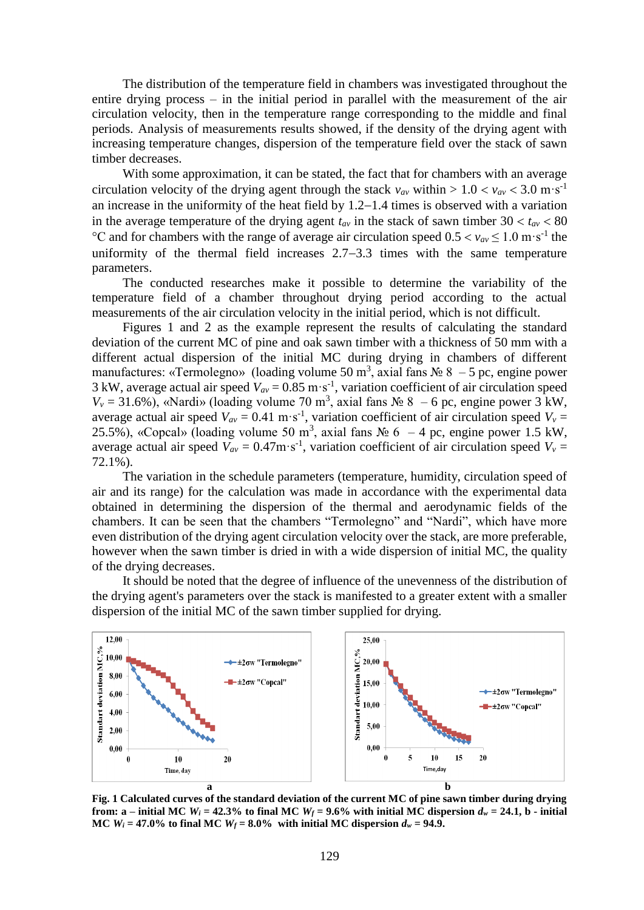The distribution of the temperature field in chambers was investigated throughout the entire drying process – in the initial period in parallel with the measurement of the air circulation velocity, then in the temperature range corresponding to the middle and final periods. Analysis of measurements results showed, if the density of the drying agent with increasing temperature changes, dispersion of the temperature field over the stack of sawn timber decreases.

With some approximation, it can be stated, the fact that for chambers with an average circulation velocity of the drying agent through the stack  $v_{av}$  within  $> 1.0 < v_{av} < 3.0$  m·s<sup>-1</sup> an increase in the uniformity of the heat field by  $1.2-1.4$  times is observed with a variation in the average temperature of the drying agent  $t_{av}$  in the stack of sawn timber  $30 < t_{av} < 80$ °C and for chambers with the range of average air circulation speed  $0.5 < v_{av} \le 1.0 \text{ m} \cdot \text{s}^{-1}$  the uniformity of the thermal field increases  $2.7-3.3$  times with the same temperature parameters.

The conducted researches make it possible to determine the variability of the temperature field of a chamber throughout drying period according to the actual measurements of the air circulation velocity in the initial period, which is not difficult.

Figures 1 and 2 as the example represent the results of calculating the standard deviation of the current MC of pine and oak sawn timber with a thickness of 50 mm with a different actual dispersion of the initial MC during drying in chambers of different manufactures: «Termolegno» (loading volume 50 m<sup>3</sup>, axial fans  $\mathcal{N}$  &  $-$  5 pc, engine power 3 kW, average actual air speed  $V_{av} = 0.85 \text{ m} \cdot \text{s}^{-1}$ , variation coefficient of air circulation speed  $V_v = 31.6\%$ ), «Nardi» (loading volume 70 m<sup>3</sup>, axial fans  $\mathcal{N} \circ 8 - 6$  pc, engine power 3 kW, average actual air speed  $V_{av} = 0.41 \text{ m} \cdot \text{s}^{-1}$ , variation coefficient of air circulation speed  $V_v =$ 25.5%), «Copcal» (loading volume 50 m<sup>3</sup>, axial fans  $\mathcal{N}_2$  6 – 4 pc, engine power 1.5 kW, average actual air speed  $V_{av} = 0.47 \text{m} \cdot \text{s}^{-1}$ , variation coefficient of air circulation speed  $V_v =$ 72.1%).

The variation in the schedule parameters (temperature, humidity, circulation speed of air and its range) for the calculation was made in accordance with the experimental data obtained in determining the dispersion of the thermal and aerodynamic fields of the chambers. It can be seen that the chambers "Termolegno" and "Nardi", which have more even distribution of the drying agent circulation velocity over the stack, are more preferable, however when the sawn timber is dried in with a wide dispersion of initial MC, the quality of the drying decreases.

It should be noted that the degree of influence of the unevenness of the distribution of the drying agent's parameters over the stack is manifested to a greater extent with a smaller dispersion of the initial MC of the sawn timber supplied for drying.



**Fig. 1 Calculated curves of the standard deviation of the current MC of pine sawn timber during drying from:** a – **initial** MC  $W_i = 42.3\%$  to final MC  $W_f = 9.6\%$  with initial MC dispersion  $d_w = 24.1$ , b - **initial MC**  $W_i = 47.0\%$  to final MC  $W_f = 8.0\%$  with initial MC dispersion  $d_w = 94.9$ .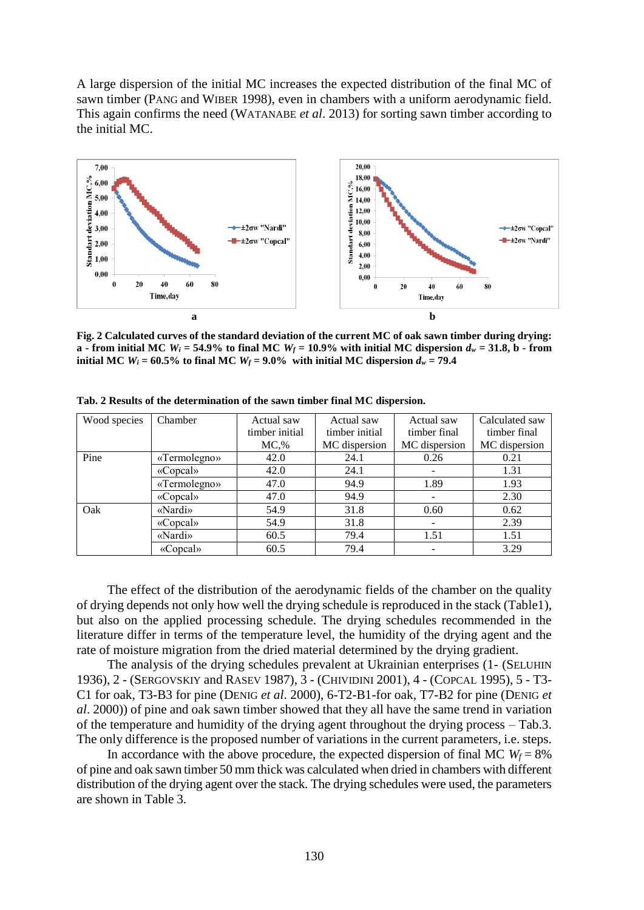A large dispersion of the initial MC increases the expected distribution of the final MC of sawn timber (PANG and WIBER 1998), even in chambers with a uniform aerodynamic field. This again confirms the need (WATANABE *et al*. 2013) for sorting sawn timber according to the initial MC.



**Fig. 2 Calculated curves of the standard deviation of the current MC of oak sawn timber during drying: a** - from initial MC  $W_i = 54.9\%$  to final MC  $W_f = 10.9\%$  with initial MC dispersion  $d_w = 31.8$ , b - from **initial MC**  $W_i = 60.5\%$  to final MC  $W_f = 9.0\%$  with initial MC dispersion  $d_w = 79.4$ 

| Wood species | Chamber      | Actual saw<br>timber initial | Actual saw<br>timber initial | Actual saw<br>timber final | Calculated saw<br>timber final |  |
|--------------|--------------|------------------------------|------------------------------|----------------------------|--------------------------------|--|
|              |              | MC.%                         | MC dispersion                | MC dispersion              | MC dispersion                  |  |
| Pine         | «Termolegno» | 42.0                         | 24.1                         | 0.26                       | 0.21                           |  |
|              | «Copcal»     | 42.0                         | 24.1                         |                            | 1.31                           |  |
|              | «Termolegno» | 47.0                         | 94.9                         | 1.89                       | 1.93                           |  |
|              | «Copcal»     | 47.0                         | 94.9                         |                            | 2.30                           |  |
| Oak          | «Nardi»      | 54.9                         | 31.8                         | 0.60                       | 0.62                           |  |
|              | «Copcal»     | 54.9                         | 31.8                         |                            | 2.39                           |  |
|              | «Nardi»      | 60.5                         | 79.4                         | 1.51                       | 1.51                           |  |
|              | «Copcal»     | 60.5                         | 79.4                         |                            | 3.29                           |  |

**Tab. 2 Results of the determination of the sawn timber final MC dispersion.**

The effect of the distribution of the aerodynamic fields of the chamber on the quality of drying depends not only how well the drying schedule is reproduced in the stack (Table1), but also on the applied processing schedule. The drying schedules recommended in the literature differ in terms of the temperature level, the humidity of the drying agent and the rate of moisture migration from the dried material determined by the drying gradient.

The analysis of the drying schedules prevalent at Ukrainian enterprises (1- (SELUHIN 1936), 2 - (SERGOVSKIY and RASEV 1987), 3 - (CHIVIDINI 2001), 4 - (COPCAL 1995), 5 - T3- C1 for oak, T3-B3 for pine (DENIG *et al*. 2000), 6-T2-B1-for oak, T7-B2 for pine (DENIG *et al*. 2000)) of pine and oak sawn timber showed that they all have the same trend in variation of the temperature and humidity of the drying agent throughout the drying process – Tab.3. The only difference is the proposed number of variations in the current parameters, i.e. steps.

In accordance with the above procedure, the expected dispersion of final MC  $W_f = 8\%$ of pine and oak sawn timber 50 mm thick was calculated when dried in chambers with different distribution of the drying agent over the stack. The drying schedules were used, the parameters are shown in Table 3.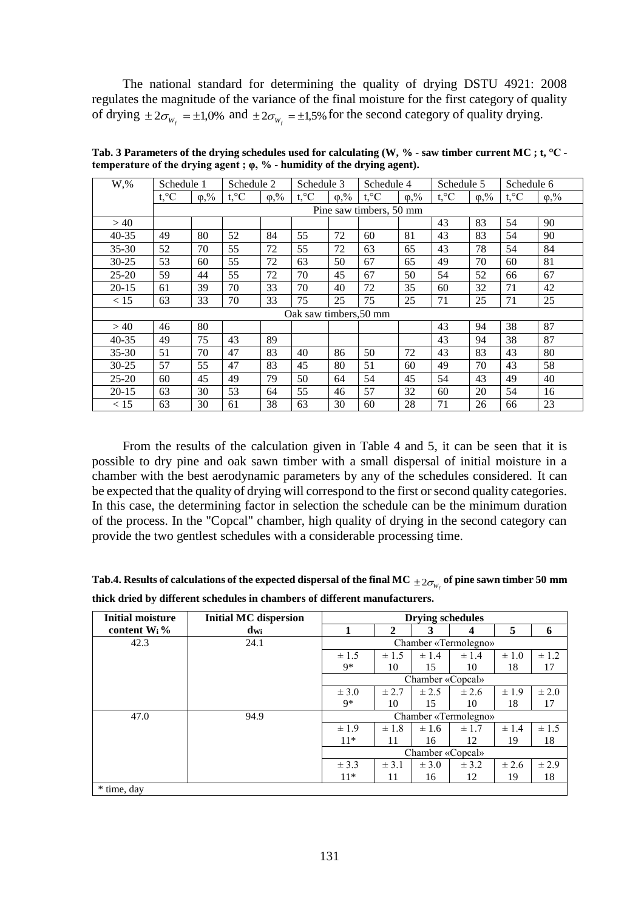The national standard for determining the quality of drying DSTU 4921: 2008 regulates the magnitude of the variance of the final moisture for the first category of quality of drying  $\pm 2\sigma_{W_f} = \pm 1,0\%$  and  $\pm 2\sigma_{W_f} = \pm 1,5\%$  for the second category of quality drying.

| W,%       | Schedule 1     |                        | Schedule 2   |                        | Schedule 3<br>Schedule 4 |               | Schedule 5              |                             | Schedule 6   |                        |                |                        |
|-----------|----------------|------------------------|--------------|------------------------|--------------------------|---------------|-------------------------|-----------------------------|--------------|------------------------|----------------|------------------------|
|           | $t, \degree C$ | $\varphi, \frac{0}{0}$ | $t, \circ C$ | $\varphi, \frac{0}{2}$ | $t, \degree C$           | $\varphi, \%$ | $t, \circ C$            | $\varphi, \sqrt[0]{\delta}$ | $t, \circ C$ | $\varphi, \frac{0}{0}$ | $t, \degree C$ | $\varphi, \frac{0}{2}$ |
|           |                |                        |              |                        |                          |               | Pine saw timbers, 50 mm |                             |              |                        |                |                        |
| >40       |                |                        |              |                        |                          |               |                         |                             | 43           | 83                     | 54             | 90                     |
| $40 - 35$ | 49             | 80                     | 52           | 84                     | 55                       | 72            | 60                      | 81                          | 43           | 83                     | 54             | 90                     |
| $35 - 30$ | 52             | 70                     | 55           | 72                     | 55                       | 72            | 63                      | 65                          | 43           | 78                     | 54             | 84                     |
| $30 - 25$ | 53             | 60                     | 55           | 72                     | 63                       | 50            | 67                      | 65                          | 49           | 70                     | 60             | 81                     |
| $25 - 20$ | 59             | 44                     | 55           | 72                     | 70                       | 45            | 67                      | 50                          | 54           | 52                     | 66             | 67                     |
| $20 - 15$ | 61             | 39                     | 70           | 33                     | 70                       | 40            | 72                      | 35                          | 60           | 32                     | 71             | 42                     |
| < 15      | 63             | 33                     | 70           | 33                     | 75                       | 25            | 75                      | 25                          | 71           | 25                     | 71             | 25                     |
|           |                |                        |              |                        | Oak saw timbers, 50 mm   |               |                         |                             |              |                        |                |                        |
| >40       | 46             | 80                     |              |                        |                          |               |                         |                             | 43           | 94                     | 38             | 87                     |
| 40-35     | 49             | 75                     | 43           | 89                     |                          |               |                         |                             | 43           | 94                     | 38             | 87                     |
| $35 - 30$ | 51             | 70                     | 47           | 83                     | 40                       | 86            | 50                      | 72                          | 43           | 83                     | 43             | 80                     |
| $30 - 25$ | 57             | 55                     | 47           | 83                     | 45                       | 80            | 51                      | 60                          | 49           | 70                     | 43             | 58                     |
| $25 - 20$ | 60             | 45                     | 49           | 79                     | 50                       | 64            | 54                      | 45                          | 54           | 43                     | 49             | 40                     |
| $20 - 15$ | 63             | 30                     | 53           | 64                     | 55                       | 46            | 57                      | 32                          | 60           | 20                     | 54             | 16                     |
| < 15      | 63             | 30                     | 61           | 38                     | 63                       | 30            | 60                      | 28                          | 71           | 26                     | 66             | 23                     |

**Tab. 3 Parameters of the drying schedules used for calculating (W, % - saw timber current MC ; t, °C temperature of the drying agent ; φ, % - humidity of the drying agent).**

From the results of the calculation given in Table 4 and 5, it can be seen that it is possible to dry pine and oak sawn timber with a small dispersal of initial moisture in a chamber with the best aerodynamic parameters by any of the schedules considered. It can be expected that the quality of drying will correspond to the first or second quality categories. In this case, the determining factor in selection the schedule can be the minimum duration of the process. In the "Copcal" chamber, high quality of drying in the second category can provide the two gentlest schedules with a considerable processing time.

| Tab.4. Results of calculations of the expected dispersal of the final MC $_{\pm 2\sigma_w}$ of pine sawn timber 50 mm |  |
|-----------------------------------------------------------------------------------------------------------------------|--|
| thick dried by different schedules in chambers of different manufacturers.                                            |  |

| <b>Initial moisture</b> | <b>Initial MC dispersion</b> | <b>Drying schedules</b> |           |                  |                      |           |           |
|-------------------------|------------------------------|-------------------------|-----------|------------------|----------------------|-----------|-----------|
| content $W_i$ %         | $d_{\rm Wi}$                 | 1                       | 2         | 3                | 4                    | 5         | 6         |
| 42.3                    | 24.1                         | Chamber «Termolegno»    |           |                  |                      |           |           |
|                         |                              | $\pm 1.5$               | $\pm 1.5$ | $\pm$ 1.4        | $\pm$ 1.4            | $\pm 1.0$ | $\pm 1.2$ |
|                         |                              | 9*                      | 10        | 15               | 10                   | 18        | 17        |
|                         |                              |                         |           | Chamber «Copcal» |                      |           |           |
|                         |                              | $\pm$ 3.0               | $\pm 2.7$ | $\pm 2.5$        | $\pm 2.6$            | $\pm 1.9$ | $\pm 2.0$ |
|                         |                              | $9*$                    | 10        | 15               | 10                   | 18        | 17        |
| 47.0                    | 94.9                         |                         |           |                  | Chamber «Termolegno» |           |           |
|                         |                              | $\pm 1.9$               | $\pm 1.8$ | $\pm 1.6$        | $\pm 1.7$            | $\pm$ 1.4 | $\pm 1.5$ |
|                         |                              | $11*$                   | 11        | 16               | 12                   | 19        | 18        |
|                         |                              |                         |           | Chamber «Copcal» |                      |           |           |
|                         |                              | $\pm$ 3.3               | $\pm$ 3.1 | $\pm$ 3.0        | $\pm$ 3.2            | $\pm 2.6$ | ± 2.9     |
|                         |                              | $11*$                   | 11        | 16               | 12                   | 19        | 18        |
| * time, day             |                              |                         |           |                  |                      |           |           |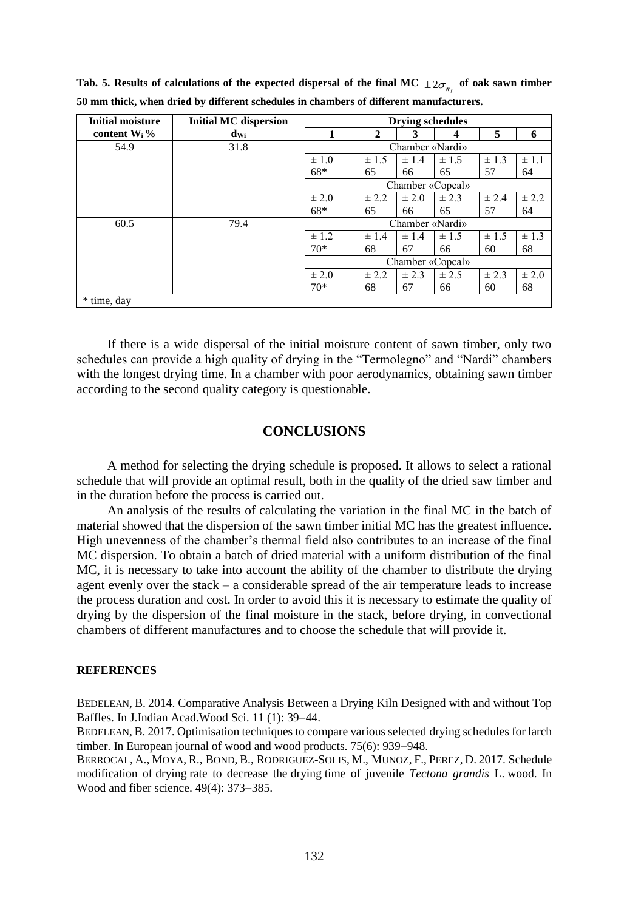| <b>Initial moisture</b> | <b>Initial MC dispersion</b> | <b>Drying schedules</b> |           |           |                  |           |           |
|-------------------------|------------------------------|-------------------------|-----------|-----------|------------------|-----------|-----------|
| content $W_i$ %         | $d_{\rm Wi}$                 | 1                       | 2         | 3         | 4                | 5         | 6         |
| 54.9                    | 31.8                         | Chamber «Nardi»         |           |           |                  |           |           |
|                         |                              | $\pm 1.0$               | $\pm$ 1.5 | $\pm$ 1.4 | $\pm$ 1.5        | $\pm$ 1.3 | $\pm$ 1.1 |
|                         |                              | 68*                     | 65        | 66        | 65               | 57        | 64        |
|                         |                              |                         |           |           | Chamber «Copcal» |           |           |
|                         |                              | $\pm 2.0$               | $\pm 2.2$ | $\pm 2.0$ | $\pm 2.3$        | $\pm 2.4$ | ± 2.2     |
|                         |                              | 68*                     | 65        | 66        | 65               | 57        | 64        |
| 60.5                    | 79.4                         | Chamber «Nardi»         |           |           |                  |           |           |
|                         |                              | $\pm$ 1.2               | $\pm$ 1.4 | $\pm$ 1.4 | $\pm$ 1.5        | $\pm$ 1.5 | $\pm$ 1.3 |
|                         |                              | $70*$                   | 68        | 67        | 66               | 60        | 68        |
|                         |                              |                         |           |           | Chamber «Copcal» |           |           |
|                         |                              | $\pm 2.0$               | $\pm 2.2$ | $\pm 2.3$ | $\pm 2.5$        | $\pm 2.3$ | $\pm 2.0$ |
|                         |                              | $70*$                   | 68        | 67        | 66               | 60        | 68        |
| * time, day             |                              |                         |           |           |                  |           |           |

Tab. 5. Results of calculations of the expected dispersal of the final MC  $\pm 2\sigma_{_{W_f}}$  of oak sawn timber **50 mm thick, when dried by different schedules in chambers of different manufacturers.**

If there is a wide dispersal of the initial moisture content of sawn timber, only two schedules can provide a high quality of drying in the "Termolegno" and "Nardi" chambers with the longest drying time. In a chamber with poor aerodynamics, obtaining sawn timber according to the second quality category is questionable.

# **CONCLUSIONS**

A method for selecting the drying schedule is proposed. It allows to select a rational schedule that will provide an optimal result, both in the quality of the dried saw timber and in the duration before the process is carried out.

An analysis of the results of calculating the variation in the final MC in the batch of material showed that the dispersion of the sawn timber initial MC has the greatest influence. High unevenness of the chamber's thermal field also contributes to an increase of the final MC dispersion. To obtain a batch of dried material with a uniform distribution of the final MC, it is necessary to take into account the ability of the chamber to distribute the drying agent evenly over the stack – a considerable spread of the air temperature leads to increase the process duration and cost. In order to avoid this it is necessary to estimate the quality of drying by the dispersion of the final moisture in the stack, before drying, in convectional chambers of different manufactures and to choose the schedule that will provide it.

#### **REFERENCES**

BEDELEAN, B. 2014. Comparative Analysis Between a Drying Kiln Designed with and without Top Baffles. In J.Indian Acad.Wood Sci. 11 (1): 39-44.

B[EDELEAN](http://apps.webofknowledge.com/DaisyOneClickSearch.do?product=WOS&search_mode=DaisyOneClickSearch&colName=WOS&SID=F195QS7xD8XPA3ZVMGm&author_name=Bedelean,%20B&dais_id=6463427&excludeEventConfig=ExcludeIfFromFullRecPage), B. 2017. Optimisation techniques to compare various selected drying schedules for larch timber. In European journal of wood and wood products.  $75(6)$ : 939–948.

B[ERROCAL](http://apps.webofknowledge.com/DaisyOneClickSearch.do?product=WOS&search_mode=DaisyOneClickSearch&colName=WOS&SID=F195QS7xD8XPA3ZVMGm&author_name=Berrocal,%20A&dais_id=2212009&excludeEventConfig=ExcludeIfFromFullRecPage), A., M[OYA](http://apps.webofknowledge.com/DaisyOneClickSearch.do?product=WOS&search_mode=DaisyOneClickSearch&colName=WOS&SID=F195QS7xD8XPA3ZVMGm&author_name=Moya,%20R&dais_id=414689&excludeEventConfig=ExcludeIfFromFullRecPage), R., B[OND](http://apps.webofknowledge.com/DaisyOneClickSearch.do?product=WOS&search_mode=DaisyOneClickSearch&colName=WOS&SID=F195QS7xD8XPA3ZVMGm&author_name=Bond,%20B&dais_id=781040&excludeEventConfig=ExcludeIfFromFullRecPage), B., R[ODRIGUEZ](http://apps.webofknowledge.com/DaisyOneClickSearch.do?product=WOS&search_mode=DaisyOneClickSearch&colName=WOS&SID=F195QS7xD8XPA3ZVMGm&author_name=Rodriguez-Solis,%20M&dais_id=6064836&excludeEventConfig=ExcludeIfFromFullRecPage)-SOLIS, M., M[UNOZ](http://apps.webofknowledge.com/DaisyOneClickSearch.do?product=WOS&search_mode=DaisyOneClickSearch&colName=WOS&SID=F195QS7xD8XPA3ZVMGm&author_name=Munoz,%20F&dais_id=2929787&excludeEventConfig=ExcludeIfFromFullRecPage), F., P[EREZ](http://apps.webofknowledge.com/DaisyOneClickSearch.do?product=WOS&search_mode=DaisyOneClickSearch&colName=WOS&SID=F195QS7xD8XPA3ZVMGm&author_name=Perez,%20D&dais_id=2827847&excludeEventConfig=ExcludeIfFromFullRecPage), D. 2017. Schedule modification of drying rate to decrease the drying time of juvenile *Tectona grandis* L. wood. In Wood and fiber science.  $49(4)$ :  $373-385$ .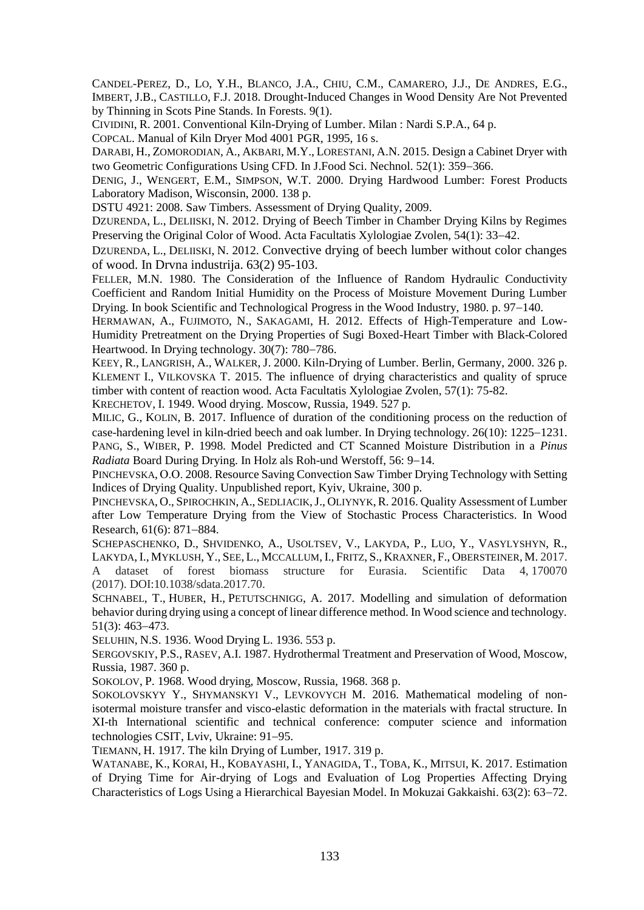C[ANDEL](http://apps.webofknowledge.com/OneClickSearch.do?product=WOS&search_mode=OneClickSearch&excludeEventConfig=ExcludeIfFromFullRecPage&colName=WOS&SID=E3Icd65INtUjHJj4efV&field=AU&value=Candel-Perez,%20D)-PEREZ, D., LO, [Y.H.](http://apps.webofknowledge.com/OneClickSearch.do?product=WOS&search_mode=OneClickSearch&excludeEventConfig=ExcludeIfFromFullRecPage&colName=WOS&SID=E3Icd65INtUjHJj4efV&field=AU&value=Lo,%20YH), B[LANCO](http://apps.webofknowledge.com/OneClickSearch.do?product=WOS&search_mode=OneClickSearch&excludeEventConfig=ExcludeIfFromFullRecPage&colName=WOS&SID=E3Icd65INtUjHJj4efV&field=AU&value=Blanco,%20JA), J.A., CHIU, [C.M.](http://apps.webofknowledge.com/OneClickSearch.do?product=WOS&search_mode=OneClickSearch&excludeEventConfig=ExcludeIfFromFullRecPage&colName=WOS&SID=E3Icd65INtUjHJj4efV&field=AU&value=Chiu,%20CM), C[AMARERO](http://apps.webofknowledge.com/OneClickSearch.do?product=WOS&search_mode=OneClickSearch&excludeEventConfig=ExcludeIfFromFullRecPage&colName=WOS&SID=E3Icd65INtUjHJj4efV&field=AU&value=Camarero,%20JJ), J.J., DE A[NDRES](http://apps.webofknowledge.com/OneClickSearch.do?product=WOS&search_mode=OneClickSearch&excludeEventConfig=ExcludeIfFromFullRecPage&colName=WOS&SID=E3Icd65INtUjHJj4efV&field=AU&value=de%20Andres,%20EG), E.G., I[MBERT](http://apps.webofknowledge.com/OneClickSearch.do?product=WOS&search_mode=OneClickSearch&excludeEventConfig=ExcludeIfFromFullRecPage&colName=WOS&SID=E3Icd65INtUjHJj4efV&field=AU&value=Imbert,%20JB), J.B., C[ASTILLO](http://apps.webofknowledge.com/OneClickSearch.do?product=WOS&search_mode=OneClickSearch&excludeEventConfig=ExcludeIfFromFullRecPage&colName=WOS&SID=E3Icd65INtUjHJj4efV&field=AU&value=Castillo,%20FJ), F.J. 2018. Drought-Induced Changes in Wood Density Are Not Prevented by Thinning in Scots Pine Stands. In Forests. 9(1).

CIVIDINI, R. 2001. Conventional Kiln-Drying of Lumber. Milan : Nardi S.P.A., 64 p.

COPCAL. Manual of Kiln Dryer Mod 4001 PGR, 1995, 16 s.

DARABI, H., ZOMORODIAN, A., AKBARI, M.Y., LORESTANI, A.N. 2015. Design a Cabinet Dryer with two Geometric Configurations Using CFD. In J.Food Sci. Nechnol. 52(1): 359–366.

DENIG, J., WENGERT, E.M., SIMPSON, W.T. 2000. Drying Hardwood Lumber: Forest Products Laboratory Madison, Wisconsin, 2000. 138 p.

DSTU 4921: 2008. Saw Timbers. Assessment of Drying Quality, 2009.

DZURENDA, L., DELIISKI, N. 2012. Drying of Beech Timber in Chamber Drying Kilns by Regimes Preserving the Original Color of Wood. Acta Facultatis Xylologiae Zvolen, 54(1): 33–42.

DZURENDA, L., DELIISKI, N. 2012. Convective drying of beech lumber without color changes of wood. In Drvna industrija. 63(2) 95-103.

FELLER, M.N. 1980. The Consideration of the Influence of Random Hydraulic Conductivity Coefficient and Random Initial Humidity on the Process of Moisture Movement During Lumber Drying. In book Scientific and Technological Progress in the Wood Industry, 1980. p. 97–140.

H[ERMAWAN](http://apps.webofknowledge.com/DaisyOneClickSearch.do?product=WOS&search_mode=DaisyOneClickSearch&colName=WOS&SID=E3Icd65INtUjHJj4efV&author_name=Hermawan,%20A&dais_id=3657818&excludeEventConfig=ExcludeIfFromFullRecPage), A., F[UJIMOTO](http://apps.webofknowledge.com/DaisyOneClickSearch.do?product=WOS&search_mode=DaisyOneClickSearch&colName=WOS&SID=E3Icd65INtUjHJj4efV&author_name=Fujimoto,%20N&dais_id=781281&excludeEventConfig=ExcludeIfFromFullRecPage), N., S[AKAGAMI](http://apps.webofknowledge.com/DaisyOneClickSearch.do?product=WOS&search_mode=DaisyOneClickSearch&colName=WOS&SID=E3Icd65INtUjHJj4efV&author_name=Sakagami,%20H&dais_id=2436102&excludeEventConfig=ExcludeIfFromFullRecPage), H. 2012. Effects of High-Temperature and Low-Humidity Pretreatment on the Drying Properties of Sugi Boxed-Heart Timber with Black-Colored Heartwood. In Drying technology.  $30(7)$ : 780–786.

KEEY, R., LANGRISH, A., WALKER, J. 2000. Kiln-Drying of Lumber. Berlin, Germany, 2000. 326 p. KLEMENT I., VILKOVSKA T. 2015. The influence of drying characteristics and quality of spruce timber with content of reaction wood. Acta Facultatis Xylologiae Zvolen, 57(1): 75**-**82.

KRECHETOV, I. 1949. Wood drying. Moscow, Russia, 1949. 527 p.

M[ILIC](http://apps.webofknowledge.com/DaisyOneClickSearch.do?product=WOS&search_mode=DaisyOneClickSearch&colName=WOS&SID=E3Icd65INtUjHJj4efV&author_name=Milic,%20G&dais_id=4646648&excludeEventConfig=ExcludeIfFromFullRecPage), G., K[OLIN](http://apps.webofknowledge.com/DaisyOneClickSearch.do?product=WOS&search_mode=DaisyOneClickSearch&colName=WOS&SID=E3Icd65INtUjHJj4efV&author_name=Kolin,%20B&dais_id=4910753&excludeEventConfig=ExcludeIfFromFullRecPage), B. 2017. Influence of duration of the conditioning process on the reduction of case-hardening level in kiln-dried beech and oak lumber. In Drying technology,  $26(10)$ :  $1225-1231$ . PANG, S., WIBER, P. 1998. Model Predicted and CT Scanned Moisture Distribution in a *Pinus Radiata* Board During Drying. In Holz als Roh-und Werstoff, 56: 9–14.

PINCHEVSKA, О.О. 2008. Resource Saving Convection Saw Timber Drying Technology with Setting Indices of Drying Quality. Unpublished report, Kyiv, Ukraine, 300 p.

PINCHEVSKA, O., SPIROCHKIN, A., SEDLIACIK, J., OLIYNYK, R. 2016. Quality Assessment of Lumber after Low Temperature Drying from the View of Stochastic Process Characteristics. In Wood Research, 61(6): 871-884.

SCHEPASCHENKO, D., SHVIDENKO, A., USOLTSEV, V., LAKYDA, P., LUO, Y., VASYLYSHYN, R., LAKYDA, I., MYKLUSH, Y., SEE, L., MCCALLUM, I., FRITZ, S., KRAXNER, F., OBERSTEINER, M. 2017. A dataset of forest biomass structure for Eurasia. Scientific Data 4, 170070 (2017). DOI:10.1038/sdata.2017.70.

S[CHNABEL](http://apps.webofknowledge.com/DaisyOneClickSearch.do?product=WOS&search_mode=DaisyOneClickSearch&colName=WOS&SID=E3Icd65INtUjHJj4efV&author_name=Schnabel,%20T&dais_id=1202461&excludeEventConfig=ExcludeIfFromFullRecPage), T., H[UBER](http://apps.webofknowledge.com/DaisyOneClickSearch.do?product=WOS&search_mode=DaisyOneClickSearch&colName=WOS&SID=E3Icd65INtUjHJj4efV&author_name=Huber,%20H&dais_id=3777659&excludeEventConfig=ExcludeIfFromFullRecPage), H., P[ETUTSCHNIGG](http://apps.webofknowledge.com/DaisyOneClickSearch.do?product=WOS&search_mode=DaisyOneClickSearch&colName=WOS&SID=E3Icd65INtUjHJj4efV&author_name=Petutschnigg,%20A&dais_id=581672&excludeEventConfig=ExcludeIfFromFullRecPage), A. 2017. Modelling and simulation of deformation behavior during drying using a concept of linear difference method. In Wood science and technology.  $51(3): 463 - 473.$ 

SELUHIN, N.S. 1936. Wood Drying L. 1936. 553 p.

SERGOVSKIY, P.S., RASEV, A.I. 1987. Hydrothermal Treatment and Preservation of Wood, Moscow, Russia, 1987. 360 p.

SOKOLOV, P. 1968. Wood drying, Moscow, Russia, 1968. 368 p.

SOKOLOVSKYY Y., SHYMANSKYI V., LEVKOVYCH M. 2016. Mathematical modeling of nonisotermal moisture transfer and visco-elastic deformation in the materials with fractal structure. In XI-th International scientific and technical conference: computer science and information technologies CSIT, Lviv, Ukraine: 91-95.

TIEMANN, H. 1917. The kiln Drying of Lumber, 1917. 319 p.

W[ATANABE](http://apps.webofknowledge.com/DaisyOneClickSearch.do?product=WOS&search_mode=DaisyOneClickSearch&colName=WOS&SID=E3Icd65INtUjHJj4efV&author_name=Watanabe,%20K&dais_id=103621&excludeEventConfig=ExcludeIfFromFullRecPage), K., K[ORAI](http://apps.webofknowledge.com/DaisyOneClickSearch.do?product=WOS&search_mode=DaisyOneClickSearch&colName=WOS&SID=E3Icd65INtUjHJj4efV&author_name=Korai,%20H&dais_id=1125560&excludeEventConfig=ExcludeIfFromFullRecPage), H., K[OBAYASHI](http://apps.webofknowledge.com/DaisyOneClickSearch.do?product=WOS&search_mode=DaisyOneClickSearch&colName=WOS&SID=E3Icd65INtUjHJj4efV&author_name=Kobayashi,%20I&dais_id=73510&excludeEventConfig=ExcludeIfFromFullRecPage), I., Y[ANAGIDA](http://apps.webofknowledge.com/DaisyOneClickSearch.do?product=WOS&search_mode=DaisyOneClickSearch&colName=WOS&SID=E3Icd65INtUjHJj4efV&author_name=Yanagida,%20T&dais_id=1078120&excludeEventConfig=ExcludeIfFromFullRecPage), T., T[OBA](http://apps.webofknowledge.com/DaisyOneClickSearch.do?product=WOS&search_mode=DaisyOneClickSearch&colName=WOS&SID=E3Icd65INtUjHJj4efV&author_name=Toba,%20K&dais_id=3821841&excludeEventConfig=ExcludeIfFromFullRecPage), K., M[ITSUI](http://apps.webofknowledge.com/DaisyOneClickSearch.do?product=WOS&search_mode=DaisyOneClickSearch&colName=WOS&SID=E3Icd65INtUjHJj4efV&author_name=Mitsui,%20K&dais_id=18912452&excludeEventConfig=ExcludeIfFromFullRecPage), K. 2017. Estimation of Drying Time for Air-drying of Logs and Evaluation of Log Properties Affecting Drying Characteristics of Logs Using a Hierarchical Bayesian Model. In Mokuzai Gakkaishi. 63(2): 63–72.